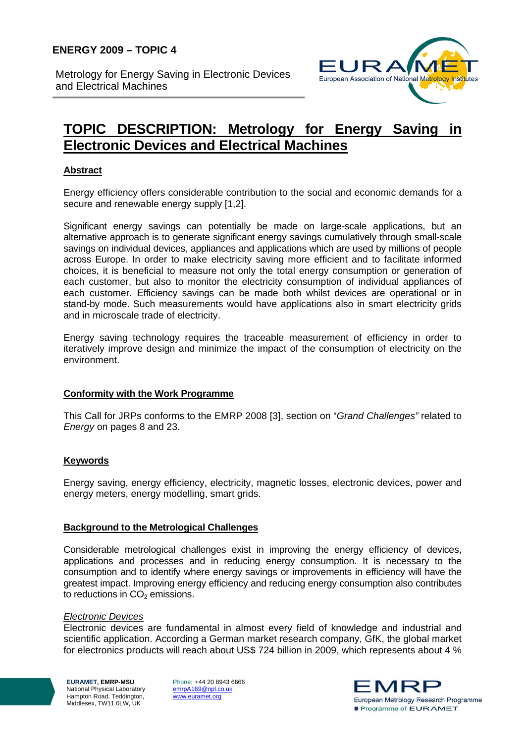Metrology for Energy Saving in Electronic Devices and Electrical Machines



# **TOPIC DESCRIPTION: Metrology for Energy Saving in Electronic Devices and Electrical Machines**

## **Abstract**

Energy efficiency offers considerable contribution to the social and economic demands for a secure and renewable energy supply [1,2].

Significant energy savings can potentially be made on large-scale applications, but an alternative approach is to generate significant energy savings cumulatively through small-scale savings on individual devices, appliances and applications which are used by millions of people across Europe. In order to make electricity saving more efficient and to facilitate informed choices, it is beneficial to measure not only the total energy consumption or generation of each customer, but also to monitor the electricity consumption of individual appliances of each customer. Efficiency savings can be made both whilst devices are operational or in stand-by mode. Such measurements would have applications also in smart electricity grids and in microscale trade of electricity.

Energy saving technology requires the traceable measurement of efficiency in order to iteratively improve design and minimize the impact of the consumption of electricity on the environment.

## **Conformity with the Work Programme**

This Call for JRPs conforms to the EMRP 2008 [3], section on "*Grand Challenges"* related to *Energy* on pages 8 and 23.

## **Keywords**

Energy saving, energy efficiency, electricity, magnetic losses, electronic devices, power and energy meters, energy modelling, smart grids.

## **Background to the Metrological Challenges**

Considerable metrological challenges exist in improving the energy efficiency of devices, applications and processes and in reducing energy consumption. It is necessary to the consumption and to identify where energy savings or improvements in efficiency will have the greatest impact. Improving energy efficiency and reducing energy consumption also contributes to reductions in  $CO<sub>2</sub>$  emissions.

#### *Electronic Devices*

Electronic devices are fundamental in almost every field of knowledge and industrial and scientific application. According a German market research company, GfK, the global market for electronics products will reach about US\$ 724 billion in 2009, which represents about 4 %

**EURAMET, EMRP-MSU**  National Physical Laboratory Hampton Road, Teddington, Middlesex, TW11 0LW, UK

Phone: +44 20 8943 6666 emrpA169@npl.co.uk www.euramet.org

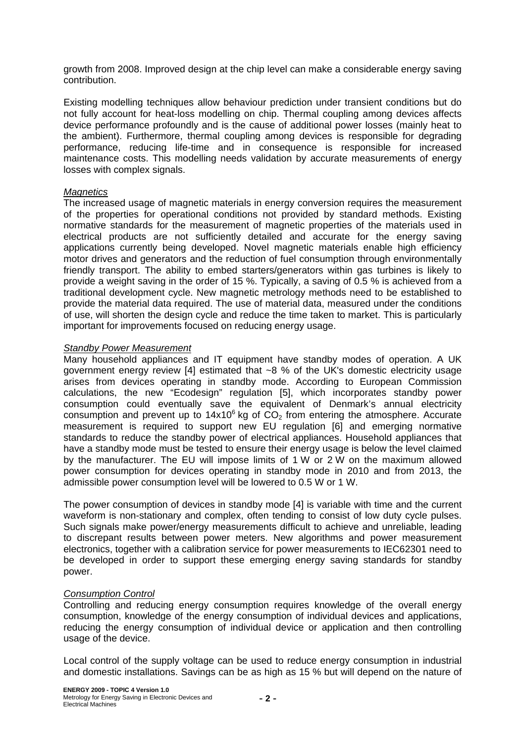growth from 2008. Improved design at the chip level can make a considerable energy saving contribution.

Existing modelling techniques allow behaviour prediction under transient conditions but do not fully account for heat-loss modelling on chip. Thermal coupling among devices affects device performance profoundly and is the cause of additional power losses (mainly heat to the ambient). Furthermore, thermal coupling among devices is responsible for degrading performance, reducing life-time and in consequence is responsible for increased maintenance costs. This modelling needs validation by accurate measurements of energy losses with complex signals.

## *Magnetics*

The increased usage of magnetic materials in energy conversion requires the measurement of the properties for operational conditions not provided by standard methods. Existing normative standards for the measurement of magnetic properties of the materials used in electrical products are not sufficiently detailed and accurate for the energy saving applications currently being developed. Novel magnetic materials enable high efficiency motor drives and generators and the reduction of fuel consumption through environmentally friendly transport. The ability to embed starters/generators within gas turbines is likely to provide a weight saving in the order of 15 %. Typically, a saving of 0.5 % is achieved from a traditional development cycle. New magnetic metrology methods need to be established to provide the material data required. The use of material data, measured under the conditions of use, will shorten the design cycle and reduce the time taken to market. This is particularly important for improvements focused on reducing energy usage.

#### *Standby Power Measurement*

Many household appliances and IT equipment have standby modes of operation. A UK government energy review [4] estimated that ~8 % of the UK's domestic electricity usage arises from devices operating in standby mode. According to European Commission calculations, the new "Ecodesign" regulation [5], which incorporates standby power consumption could eventually save the equivalent of Denmark's annual electricity consumption and prevent up to  $14x10^6$  kg of  $CO<sub>2</sub>$  from entering the atmosphere. Accurate measurement is required to support new EU regulation [6] and emerging normative standards to reduce the standby power of electrical appliances. Household appliances that have a standby mode must be tested to ensure their energy usage is below the level claimed by the manufacturer. The EU will impose limits of 1 W or 2 W on the maximum allowed power consumption for devices operating in standby mode in 2010 and from 2013, the admissible power consumption level will be lowered to 0.5 W or 1 W.

The power consumption of devices in standby mode [4] is variable with time and the current waveform is non-stationary and complex, often tending to consist of low duty cycle pulses. Such signals make power/energy measurements difficult to achieve and unreliable, leading to discrepant results between power meters. New algorithms and power measurement electronics, together with a calibration service for power measurements to IEC62301 need to be developed in order to support these emerging energy saving standards for standby power.

## *Consumption Control*

Controlling and reducing energy consumption requires knowledge of the overall energy consumption, knowledge of the energy consumption of individual devices and applications, reducing the energy consumption of individual device or application and then controlling usage of the device.

Local control of the supply voltage can be used to reduce energy consumption in industrial and domestic installations. Savings can be as high as 15 % but will depend on the nature of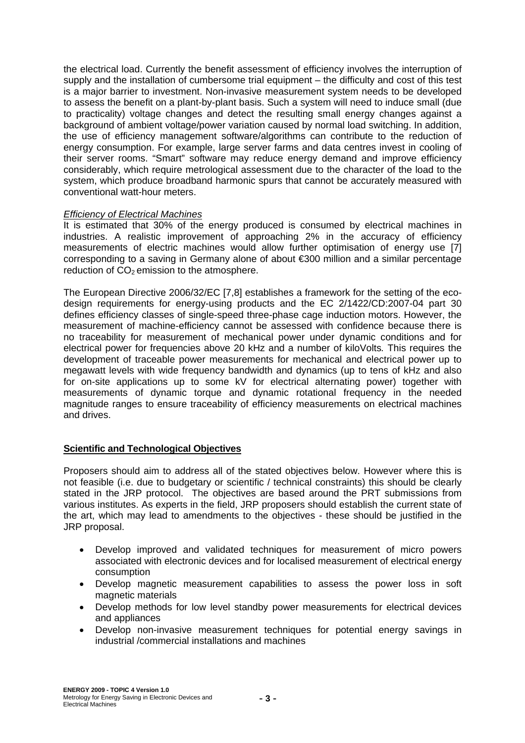the electrical load. Currently the benefit assessment of efficiency involves the interruption of supply and the installation of cumbersome trial equipment – the difficulty and cost of this test is a major barrier to investment. Non-invasive measurement system needs to be developed to assess the benefit on a plant-by-plant basis. Such a system will need to induce small (due to practicality) voltage changes and detect the resulting small energy changes against a background of ambient voltage/power variation caused by normal load switching. In addition, the use of efficiency management software/algorithms can contribute to the reduction of energy consumption. For example, large server farms and data centres invest in cooling of their server rooms. "Smart" software may reduce energy demand and improve efficiency considerably, which require metrological assessment due to the character of the load to the system, which produce broadband harmonic spurs that cannot be accurately measured with conventional watt-hour meters.

## *Efficiency of Electrical Machines*

It is estimated that 30% of the energy produced is consumed by electrical machines in industries. A realistic improvement of approaching 2% in the accuracy of efficiency measurements of electric machines would allow further optimisation of energy use [7] corresponding to a saving in Germany alone of about €300 million and a similar percentage reduction of  $CO<sub>2</sub>$  emission to the atmosphere.

The European Directive 2006/32/EC [7,8] establishes a framework for the setting of the ecodesign requirements for energy-using products and the EC 2/1422/CD:2007-04 part 30 defines efficiency classes of single-speed three-phase cage induction motors. However, the measurement of machine-efficiency cannot be assessed with confidence because there is no traceability for measurement of mechanical power under dynamic conditions and for electrical power for frequencies above 20 kHz and a number of kiloVolts*.* This requires the development of traceable power measurements for mechanical and electrical power up to megawatt levels with wide frequency bandwidth and dynamics (up to tens of kHz and also for on-site applications up to some kV for electrical alternating power) together with measurements of dynamic torque and dynamic rotational frequency in the needed magnitude ranges to ensure traceability of efficiency measurements on electrical machines and drives.

## **Scientific and Technological Objectives**

Proposers should aim to address all of the stated objectives below. However where this is not feasible (i.e. due to budgetary or scientific / technical constraints) this should be clearly stated in the JRP protocol. The objectives are based around the PRT submissions from various institutes. As experts in the field, JRP proposers should establish the current state of the art, which may lead to amendments to the objectives - these should be justified in the JRP proposal.

- Develop improved and validated techniques for measurement of micro powers associated with electronic devices and for localised measurement of electrical energy consumption
- Develop magnetic measurement capabilities to assess the power loss in soft magnetic materials
- Develop methods for low level standby power measurements for electrical devices and appliances
- Develop non-invasive measurement techniques for potential energy savings in industrial /commercial installations and machines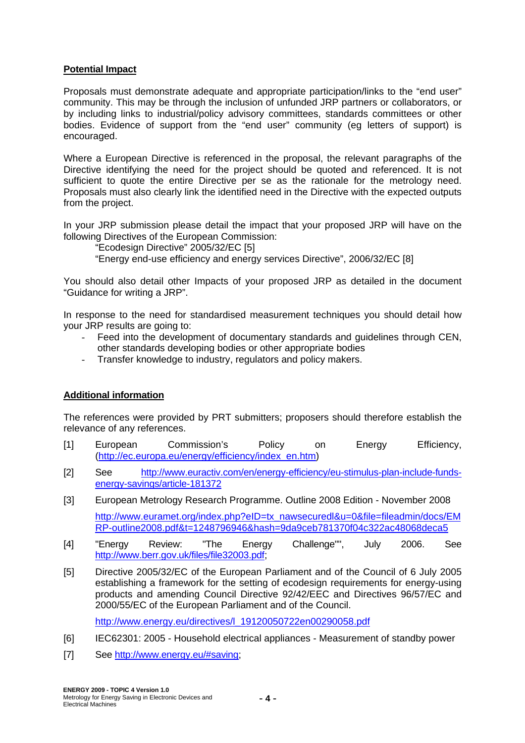### **Potential Impact**

Proposals must demonstrate adequate and appropriate participation/links to the "end user" community. This may be through the inclusion of unfunded JRP partners or collaborators, or by including links to industrial/policy advisory committees, standards committees or other bodies. Evidence of support from the "end user" community (eg letters of support) is encouraged.

Where a European Directive is referenced in the proposal, the relevant paragraphs of the Directive identifying the need for the project should be quoted and referenced. It is not sufficient to quote the entire Directive per se as the rationale for the metrology need. Proposals must also clearly link the identified need in the Directive with the expected outputs from the project.

In your JRP submission please detail the impact that your proposed JRP will have on the following Directives of the European Commission:

"Ecodesign Directive" 2005/32/EC [5]

"Energy end-use efficiency and energy services Directive", 2006/32/EC [8]

You should also detail other Impacts of your proposed JRP as detailed in the document "Guidance for writing a JRP".

In response to the need for standardised measurement techniques you should detail how your JRP results are going to:

- Feed into the development of documentary standards and guidelines through CEN, other standards developing bodies or other appropriate bodies
- Transfer knowledge to industry, regulators and policy makers.

## **Additional information**

The references were provided by PRT submitters; proposers should therefore establish the relevance of any references.

- [1] European Commission's Policy on Energy Efficiency, (http://ec.europa.eu/energy/efficiency/index\_en.htm)
- [2] See http://www.euractiv.com/en/energy-efficiency/eu-stimulus-plan-include-fundsenergy-savings/article-181372
- [3] European Metrology Research Programme. Outline 2008 Edition November 2008 http://www.euramet.org/index.php?eID=tx\_nawsecuredl&u=0&file=fileadmin/docs/EM RP-outline2008.pdf&t=1248796946&hash=9da9ceb781370f04c322ac48068deca5
- [4] "Energy Review: "The Energy Challenge"", July 2006. See http://www.berr.gov.uk/files/file32003.pdf;
- [5] Directive 2005/32/EC of the European Parliament and of the Council of 6 July 2005 establishing a framework for the setting of ecodesign requirements for energy-using products and amending Council Directive 92/42/EEC and Directives 96/57/EC and 2000/55/EC of the European Parliament and of the Council.

http://www.energy.eu/directives/l\_19120050722en00290058.pdf

- [6] IEC62301: 2005 Household electrical appliances Measurement of standby power
- [7] See http://www.energy.eu/#saving;